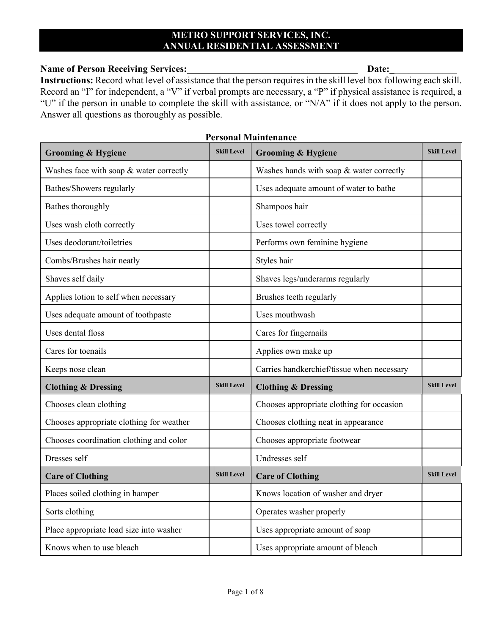### **METRO SUPPORT SERVICES, INC. ANNUAL RESIDENTIAL ASSESSMENT**

#### Name of Person Receiving Services: **Date:** Date:

**Instructions:** Record what level of assistance that the person requires in the skill level box following each skill. Record an "I" for independent, a "V" if verbal prompts are necessary, a "P" if physical assistance is required, a "U" if the person in unable to complete the skill with assistance, or "N/A" if it does not apply to the person. Answer all questions as thoroughly as possible.

| <b>Grooming &amp; Hygiene</b>            | <b>Skill Level</b> | <b>Grooming &amp; Hygiene</b>              | <b>Skill Level</b> |
|------------------------------------------|--------------------|--------------------------------------------|--------------------|
| Washes face with soap & water correctly  |                    | Washes hands with soap & water correctly   |                    |
| Bathes/Showers regularly                 |                    | Uses adequate amount of water to bathe     |                    |
| Bathes thoroughly                        |                    | Shampoos hair                              |                    |
| Uses wash cloth correctly                |                    | Uses towel correctly                       |                    |
| Uses deodorant/toiletries                |                    | Performs own feminine hygiene              |                    |
| Combs/Brushes hair neatly                |                    | Styles hair                                |                    |
| Shaves self daily                        |                    | Shaves legs/underarms regularly            |                    |
| Applies lotion to self when necessary    |                    | Brushes teeth regularly                    |                    |
| Uses adequate amount of toothpaste       |                    | Uses mouthwash                             |                    |
| Uses dental floss                        |                    | Cares for fingernails                      |                    |
| Cares for toenails                       |                    | Applies own make up                        |                    |
| Keeps nose clean                         |                    | Carries handkerchief/tissue when necessary |                    |
| <b>Clothing &amp; Dressing</b>           | <b>Skill Level</b> | <b>Clothing &amp; Dressing</b>             | <b>Skill Level</b> |
| Chooses clean clothing                   |                    | Chooses appropriate clothing for occasion  |                    |
| Chooses appropriate clothing for weather |                    | Chooses clothing neat in appearance        |                    |
| Chooses coordination clothing and color  |                    | Chooses appropriate footwear               |                    |
| Dresses self                             |                    | Undresses self                             |                    |
| <b>Care of Clothing</b>                  | <b>Skill Level</b> | <b>Care of Clothing</b>                    | <b>Skill Level</b> |
| Places soiled clothing in hamper         |                    | Knows location of washer and dryer         |                    |
| Sorts clothing                           |                    | Operates washer properly                   |                    |
| Place appropriate load size into washer  |                    | Uses appropriate amount of soap            |                    |
| Knows when to use bleach                 |                    | Uses appropriate amount of bleach          |                    |

#### **Personal Maintenance**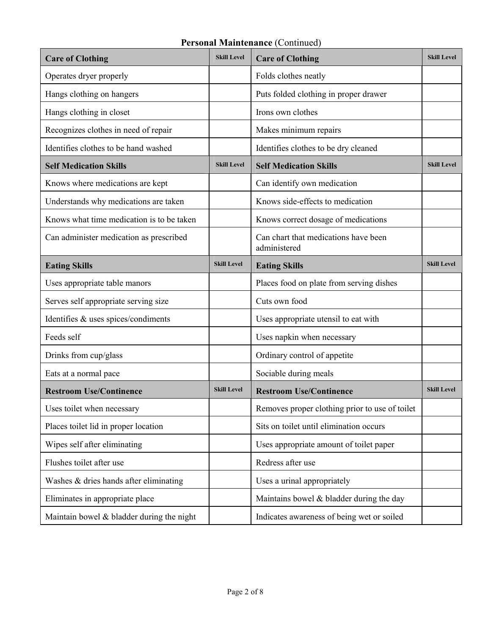## **Personal Maintenance** (Continued)

| <b>Care of Clothing</b>                   | <b>Skill Level</b> | <b>Care of Clothing</b>                              | <b>Skill Level</b> |
|-------------------------------------------|--------------------|------------------------------------------------------|--------------------|
| Operates dryer properly                   |                    | Folds clothes neatly                                 |                    |
| Hangs clothing on hangers                 |                    | Puts folded clothing in proper drawer                |                    |
| Hangs clothing in closet                  |                    | Irons own clothes                                    |                    |
| Recognizes clothes in need of repair      |                    | Makes minimum repairs                                |                    |
| Identifies clothes to be hand washed      |                    | Identifies clothes to be dry cleaned                 |                    |
| <b>Self Medication Skills</b>             | <b>Skill Level</b> | <b>Self Medication Skills</b>                        | <b>Skill Level</b> |
| Knows where medications are kept          |                    | Can identify own medication                          |                    |
| Understands why medications are taken     |                    | Knows side-effects to medication                     |                    |
| Knows what time medication is to be taken |                    | Knows correct dosage of medications                  |                    |
| Can administer medication as prescribed   |                    | Can chart that medications have been<br>administered |                    |
| <b>Eating Skills</b>                      | <b>Skill Level</b> | <b>Eating Skills</b>                                 | <b>Skill Level</b> |
| Uses appropriate table manors             |                    | Places food on plate from serving dishes             |                    |
| Serves self appropriate serving size      |                    | Cuts own food                                        |                    |
| Identifies & uses spices/condiments       |                    | Uses appropriate utensil to eat with                 |                    |
| Feeds self                                |                    | Uses napkin when necessary                           |                    |
| Drinks from cup/glass                     |                    | Ordinary control of appetite                         |                    |
| Eats at a normal pace                     |                    | Sociable during meals                                |                    |
| <b>Restroom Use/Continence</b>            | <b>Skill Level</b> | <b>Restroom Use/Continence</b>                       | <b>Skill Level</b> |
| Uses toilet when necessary                |                    | Removes proper clothing prior to use of toilet       |                    |
| Places toilet lid in proper location      |                    | Sits on toilet until elimination occurs              |                    |
| Wipes self after eliminating              |                    | Uses appropriate amount of toilet paper              |                    |
| Flushes toilet after use                  |                    | Redress after use                                    |                    |
| Washes & dries hands after eliminating    |                    | Uses a urinal appropriately                          |                    |
| Eliminates in appropriate place           |                    | Maintains bowel $&$ bladder during the day           |                    |
| Maintain bowel & bladder during the night |                    | Indicates awareness of being wet or soiled           |                    |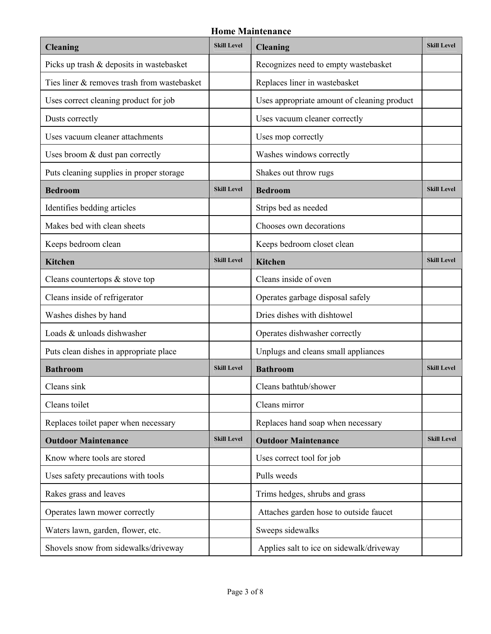#### **Home Maintenance**

| <b>Cleaning</b>                             | <b>Skill Level</b> | <b>Cleaning</b>                             | <b>Skill Level</b> |
|---------------------------------------------|--------------------|---------------------------------------------|--------------------|
| Picks up trash & deposits in wastebasket    |                    | Recognizes need to empty wastebasket        |                    |
| Ties liner & removes trash from wastebasket |                    | Replaces liner in wastebasket               |                    |
| Uses correct cleaning product for job       |                    | Uses appropriate amount of cleaning product |                    |
| Dusts correctly                             |                    | Uses vacuum cleaner correctly               |                    |
| Uses vacuum cleaner attachments             |                    | Uses mop correctly                          |                    |
| Uses broom & dust pan correctly             |                    | Washes windows correctly                    |                    |
| Puts cleaning supplies in proper storage    |                    | Shakes out throw rugs                       |                    |
| <b>Bedroom</b>                              | <b>Skill Level</b> | <b>Bedroom</b>                              | <b>Skill Level</b> |
| Identifies bedding articles                 |                    | Strips bed as needed                        |                    |
| Makes bed with clean sheets                 |                    | Chooses own decorations                     |                    |
| Keeps bedroom clean                         |                    | Keeps bedroom closet clean                  |                    |
| <b>Kitchen</b>                              | <b>Skill Level</b> | <b>Kitchen</b>                              | <b>Skill Level</b> |
| Cleans countertops & stove top              |                    | Cleans inside of oven                       |                    |
| Cleans inside of refrigerator               |                    | Operates garbage disposal safely            |                    |
| Washes dishes by hand                       |                    | Dries dishes with dishtowel                 |                    |
| Loads & unloads dishwasher                  |                    | Operates dishwasher correctly               |                    |
| Puts clean dishes in appropriate place      |                    | Unplugs and cleans small appliances         |                    |
| <b>Bathroom</b>                             | <b>Skill Level</b> | <b>Bathroom</b>                             | <b>Skill Level</b> |
| Cleans sink                                 |                    | Cleans bathtub/shower                       |                    |
| Cleans toilet                               |                    | Cleans mirror                               |                    |
| Replaces toilet paper when necessary        |                    | Replaces hand soap when necessary           |                    |
| <b>Outdoor Maintenance</b>                  | <b>Skill Level</b> | <b>Outdoor Maintenance</b>                  | <b>Skill Level</b> |
| Know where tools are stored                 |                    | Uses correct tool for job                   |                    |
| Uses safety precautions with tools          |                    | Pulls weeds                                 |                    |
| Rakes grass and leaves                      |                    | Trims hedges, shrubs and grass              |                    |
| Operates lawn mower correctly               |                    | Attaches garden hose to outside faucet      |                    |
| Waters lawn, garden, flower, etc.           |                    | Sweeps sidewalks                            |                    |
| Shovels snow from sidewalks/driveway        |                    | Applies salt to ice on sidewalk/driveway    |                    |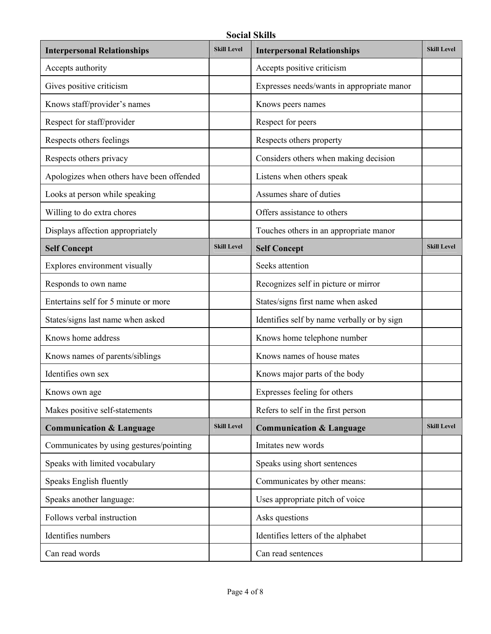**Social Skills** 

| <b>Interpersonal Relationships</b>        | <b>Skill Level</b> | <b>Interpersonal Relationships</b>          | <b>Skill Level</b> |
|-------------------------------------------|--------------------|---------------------------------------------|--------------------|
| Accepts authority                         |                    | Accepts positive criticism                  |                    |
| Gives positive criticism                  |                    | Expresses needs/wants in appropriate manor  |                    |
| Knows staff/provider's names              |                    | Knows peers names                           |                    |
| Respect for staff/provider                |                    | Respect for peers                           |                    |
| Respects others feelings                  |                    | Respects others property                    |                    |
| Respects others privacy                   |                    | Considers others when making decision       |                    |
| Apologizes when others have been offended |                    | Listens when others speak                   |                    |
| Looks at person while speaking            |                    | Assumes share of duties                     |                    |
| Willing to do extra chores                |                    | Offers assistance to others                 |                    |
| Displays affection appropriately          |                    | Touches others in an appropriate manor      |                    |
| <b>Self Concept</b>                       | <b>Skill Level</b> | <b>Self Concept</b>                         | <b>Skill Level</b> |
| Explores environment visually             |                    | Seeks attention                             |                    |
| Responds to own name                      |                    | Recognizes self in picture or mirror        |                    |
| Entertains self for 5 minute or more      |                    | States/signs first name when asked          |                    |
| States/signs last name when asked         |                    | Identifies self by name verbally or by sign |                    |
| Knows home address                        |                    | Knows home telephone number                 |                    |
| Knows names of parents/siblings           |                    | Knows names of house mates                  |                    |
| Identifies own sex                        |                    | Knows major parts of the body               |                    |
| Knows own age                             |                    | Expresses feeling for others                |                    |
| Makes positive self-statements            |                    | Refers to self in the first person          |                    |
| <b>Communication &amp; Language</b>       | <b>Skill Level</b> | <b>Communication &amp; Language</b>         | <b>Skill Level</b> |
| Communicates by using gestures/pointing   |                    | Imitates new words                          |                    |
| Speaks with limited vocabulary            |                    | Speaks using short sentences                |                    |
| Speaks English fluently                   |                    | Communicates by other means:                |                    |
| Speaks another language:                  |                    | Uses appropriate pitch of voice             |                    |
| Follows verbal instruction                |                    | Asks questions                              |                    |
| Identifies numbers                        |                    | Identifies letters of the alphabet          |                    |
| Can read words                            |                    | Can read sentences                          |                    |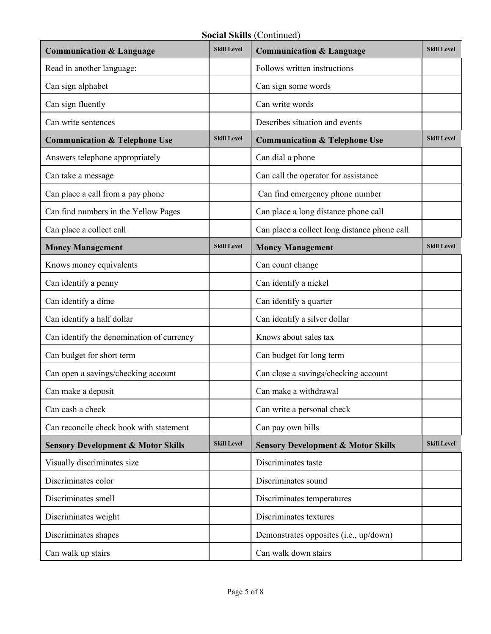| <b>Communication &amp; Language</b>           | <b>Skill Level</b> | <b>Communication &amp; Language</b>           | <b>Skill Level</b> |
|-----------------------------------------------|--------------------|-----------------------------------------------|--------------------|
| Read in another language:                     |                    | Follows written instructions                  |                    |
| Can sign alphabet                             |                    | Can sign some words                           |                    |
| Can sign fluently                             |                    | Can write words                               |                    |
| Can write sentences                           |                    | Describes situation and events                |                    |
| <b>Communication &amp; Telephone Use</b>      | <b>Skill Level</b> | <b>Communication &amp; Telephone Use</b>      | <b>Skill Level</b> |
| Answers telephone appropriately               |                    | Can dial a phone                              |                    |
| Can take a message                            |                    | Can call the operator for assistance          |                    |
| Can place a call from a pay phone             |                    | Can find emergency phone number               |                    |
| Can find numbers in the Yellow Pages          |                    | Can place a long distance phone call          |                    |
| Can place a collect call                      |                    | Can place a collect long distance phone call  |                    |
| <b>Money Management</b>                       | <b>Skill Level</b> | <b>Money Management</b>                       | <b>Skill Level</b> |
| Knows money equivalents                       |                    | Can count change                              |                    |
| Can identify a penny                          |                    | Can identify a nickel                         |                    |
| Can identify a dime                           |                    | Can identify a quarter                        |                    |
| Can identify a half dollar                    |                    | Can identify a silver dollar                  |                    |
| Can identify the denomination of currency     |                    | Knows about sales tax                         |                    |
| Can budget for short term                     |                    | Can budget for long term                      |                    |
| Can open a savings/checking account           |                    | Can close a savings/checking account          |                    |
| Can make a deposit                            |                    | Can make a withdrawal                         |                    |
| Can cash a check                              |                    | Can write a personal check                    |                    |
| Can reconcile check book with statement       |                    | Can pay own bills                             |                    |
| <b>Sensory Development &amp; Motor Skills</b> | <b>Skill Level</b> | <b>Sensory Development &amp; Motor Skills</b> | <b>Skill Level</b> |
| Visually discriminates size                   |                    | Discriminates taste                           |                    |
| Discriminates color                           |                    | Discriminates sound                           |                    |
| Discriminates smell                           |                    | Discriminates temperatures                    |                    |
| Discriminates weight                          |                    | Discriminates textures                        |                    |
| Discriminates shapes                          |                    | Demonstrates opposites (i.e., up/down)        |                    |
| Can walk up stairs                            |                    | Can walk down stairs                          |                    |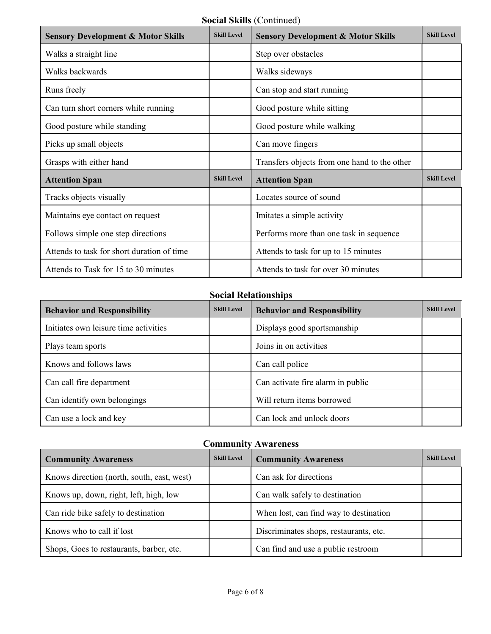**Social Skills** (Continued)

| <b>Sensory Development &amp; Motor Skills</b> | <b>Skill Level</b> | <b>Sensory Development &amp; Motor Skills</b> | <b>Skill Level</b> |
|-----------------------------------------------|--------------------|-----------------------------------------------|--------------------|
| Walks a straight line                         |                    | Step over obstacles                           |                    |
| Walks backwards                               |                    | Walks sideways                                |                    |
| Runs freely                                   |                    | Can stop and start running                    |                    |
| Can turn short corners while running          |                    | Good posture while sitting                    |                    |
| Good posture while standing                   |                    | Good posture while walking                    |                    |
| Picks up small objects                        |                    | Can move fingers                              |                    |
| Grasps with either hand                       |                    | Transfers objects from one hand to the other  |                    |
| <b>Attention Span</b>                         | <b>Skill Level</b> | <b>Attention Span</b>                         | <b>Skill Level</b> |
| Tracks objects visually                       |                    | Locates source of sound                       |                    |
| Maintains eye contact on request              |                    | Imitates a simple activity                    |                    |
| Follows simple one step directions            |                    | Performs more than one task in sequence       |                    |
| Attends to task for short duration of time    |                    | Attends to task for up to 15 minutes          |                    |
| Attends to Task for 15 to 30 minutes          |                    | Attends to task for over 30 minutes           |                    |

## **Social Relationships**

| <b>Behavior and Responsibility</b>    | <b>Skill Level</b><br><b>Behavior and Responsibility</b> |                                   | <b>Skill Level</b> |
|---------------------------------------|----------------------------------------------------------|-----------------------------------|--------------------|
| Initiates own leisure time activities |                                                          | Displays good sportsmanship       |                    |
| Plays team sports                     |                                                          | Joins in on activities            |                    |
| Knows and follows laws                |                                                          | Can call police                   |                    |
| Can call fire department              |                                                          | Can activate fire alarm in public |                    |
| Can identify own belongings           |                                                          | Will return items borrowed        |                    |
| Can use a lock and key                |                                                          | Can lock and unlock doors         |                    |

#### **Community Awareness**

| <b>Community Awareness</b>                 | <b>Skill Level</b> | <b>Community Awareness</b>             | <b>Skill Level</b> |
|--------------------------------------------|--------------------|----------------------------------------|--------------------|
| Knows direction (north, south, east, west) |                    | Can ask for directions                 |                    |
| Knows up, down, right, left, high, low     |                    | Can walk safely to destination         |                    |
| Can ride bike safely to destination        |                    | When lost, can find way to destination |                    |
| Knows who to call if lost                  |                    | Discriminates shops, restaurants, etc. |                    |
| Shops, Goes to restaurants, barber, etc.   |                    | Can find and use a public restroom     |                    |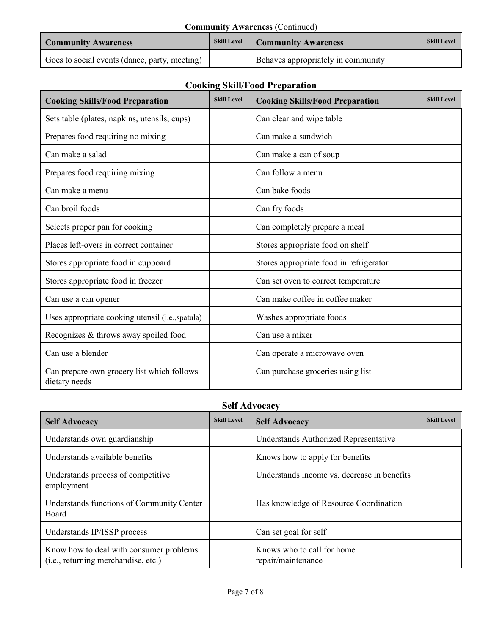| <b>Community Awareness (Continued)</b>           |  |                                    |                    |
|--------------------------------------------------|--|------------------------------------|--------------------|
| <b>Skill Level</b><br><b>Community Awareness</b> |  | <b>Community Awareness</b>         | <b>Skill Level</b> |
| Goes to social events (dance, party, meeting)    |  | Behaves appropriately in community |                    |

# **Cooking Skill/Food Preparation**

| <b>Cooking Skills/Food Preparation</b>                      | <b>Skill Level</b> | <b>Cooking Skills/Food Preparation</b>  | <b>Skill Level</b> |
|-------------------------------------------------------------|--------------------|-----------------------------------------|--------------------|
| Sets table (plates, napkins, utensils, cups)                |                    | Can clear and wipe table                |                    |
| Prepares food requiring no mixing                           |                    | Can make a sandwich                     |                    |
| Can make a salad                                            |                    | Can make a can of soup                  |                    |
| Prepares food requiring mixing                              |                    | Can follow a menu                       |                    |
| Can make a menu                                             |                    | Can bake foods                          |                    |
| Can broil foods                                             |                    | Can fry foods                           |                    |
| Selects proper pan for cooking                              |                    | Can completely prepare a meal           |                    |
| Places left-overs in correct container                      |                    | Stores appropriate food on shelf        |                    |
| Stores appropriate food in cupboard                         |                    | Stores appropriate food in refrigerator |                    |
| Stores appropriate food in freezer                          |                    | Can set oven to correct temperature     |                    |
| Can use a can opener                                        |                    | Can make coffee in coffee maker         |                    |
| Uses appropriate cooking utensil (i.e., spatula)            |                    | Washes appropriate foods                |                    |
| Recognizes & throws away spoiled food                       |                    | Can use a mixer                         |                    |
| Can use a blender                                           |                    | Can operate a microwave oven            |                    |
| Can prepare own grocery list which follows<br>dietary needs |                    | Can purchase groceries using list       |                    |

#### **Self Advocacy**

| <b>Self Advocacy</b>                                                           | <b>Skill Level</b> | <b>Self Advocacy</b>                             | <b>Skill Level</b> |
|--------------------------------------------------------------------------------|--------------------|--------------------------------------------------|--------------------|
| Understands own guardianship                                                   |                    | Understands Authorized Representative            |                    |
| Understands available benefits                                                 |                    | Knows how to apply for benefits                  |                    |
| Understands process of competitive<br>employment                               |                    | Understands income vs. decrease in benefits      |                    |
| Understands functions of Community Center<br><b>Board</b>                      |                    | Has knowledge of Resource Coordination           |                    |
| Understands IP/ISSP process                                                    |                    | Can set goal for self                            |                    |
| Know how to deal with consumer problems<br>(i.e., returning merchandise, etc.) |                    | Knows who to call for home<br>repair/maintenance |                    |